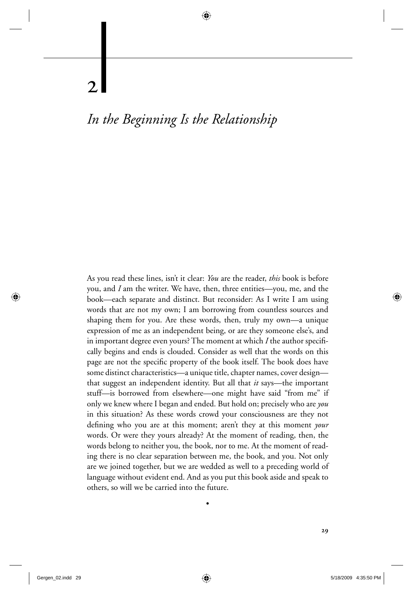⊕

# $\overline{2}$

# *In the Beginning Is the Relationship*

As you read these lines, isn't it clear: *You* are the reader, *this* book is before you, and *I* am the writer. We have, then, three entities—you, me, and the book—each separate and distinct. But reconsider: As I write I am using words that are not my own; I am borrowing from countless sources and shaping them for you. Are these words, then, truly my own—a unique expression of me as an independent being, or are they someone else's, and in important degree even yours? The moment at which *I* the author specifically begins and ends is clouded. Consider as well that the words on this page are not the specific property of the book itself. The book does have some distinct characteristics—a unique title, chapter names, cover design that suggest an independent identity. But all that *it* says—the important stuff—is borrowed from elsewhere—one might have said "from me" if only we knew where I began and ended. But hold on; precisely who are *you* in this situation? As these words crowd your consciousness are they not defining who you are at this moment; aren't they at this moment *your* words. Or were they yours already? At the moment of reading, then, the words belong to neither you, the book, nor to me. At the moment of reading there is no clear separation between me, the book, and you. Not only are we joined together, but we are wedded as well to a preceding world of language without evident end. And as you put this book aside and speak to others, so will we be carried into the future.

•

↔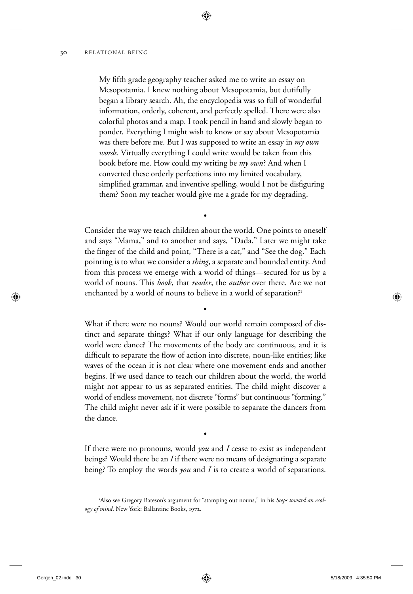My fifth grade geography teacher asked me to write an essay on Mesopotamia. I knew nothing about Mesopotamia, but dutifully began a library search. Ah, the encyclopedia was so full of wonderful information, orderly, coherent, and perfectly spelled. There were also colorful photos and a map. I took pencil in hand and slowly began to ponder. Everything I might wish to know or say about Mesopotamia was there before me. But I was supposed to write an essay in *my own words*. Virtually everything I could write would be taken from this book before me. How could my writing be *my own*? And when I converted these orderly perfections into my limited vocabulary, simplified grammar, and inventive spelling, would I not be disfiguring them? Soon my teacher would give me a grade for my degrading.

⊕

Consider the way we teach children about the world. One points to oneself and says "Mama," and to another and says, "Dada." Later we might take the finger of the child and point, "There is a cat," and "See the dog." Each pointing is to what we consider a *thing*, a separate and bounded entity. And from this process we emerge with a world of things—secured for us by a world of nouns. This *book*, that *reader*, the *author* over there. Are we not enchanted by a world of nouns to believe in a world of separation?<sup>1</sup>

•

•

What if there were no nouns? Would our world remain composed of distinct and separate things? What if our only language for describing the world were dance? The movements of the body are continuous, and it is difficult to separate the flow of action into discrete, noun-like entities; like waves of the ocean it is not clear where one movement ends and another begins. If we used dance to teach our children about the world, the world might not appear to us as separated entities. The child might discover a world of endless movement, not discrete "forms" but continuous "forming." The child might never ask if it were possible to separate the dancers from the dance.

If there were no pronouns, would *you* and *I* cease to exist as independent beings? Would there be an *I* if there were no means of designating a separate being? To employ the words *you* and *I* is to create a world of separations.

•

↔

<sup>1</sup> Also see Gregory Bateson's argument for "stamping out nouns," in his *Steps toward an ecology of mind*. New York: Ballantine Books, 1972.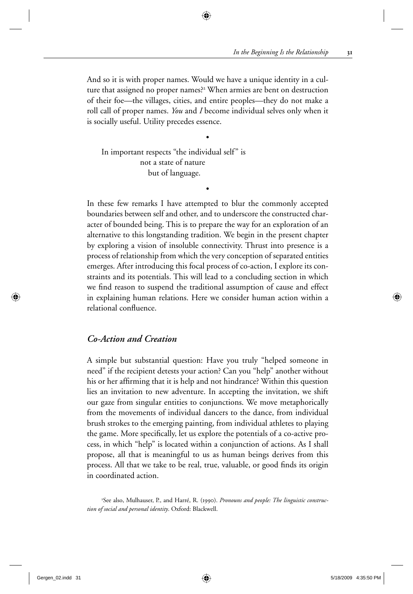And so it is with proper names. Would we have a unique identity in a culture that assigned no proper names?<sup>2</sup> When armies are bent on destruction of their foe—the villages, cities, and entire peoples—they do not make a roll call of proper names. *You* and *I* become individual selves only when it is socially useful. Utility precedes essence.

↔

•

•

In important respects "the individual self" is not a state of nature but of language.

In these few remarks I have attempted to blur the commonly accepted boundaries between self and other, and to underscore the constructed character of bounded being. This is to prepare the way for an exploration of an alternative to this longstanding tradition. We begin in the present chapter by exploring a vision of insoluble connectivity. Thrust into presence is a process of relationship from which the very conception of separated entities emerges. After introducing this focal process of co-action, I explore its constraints and its potentials. This will lead to a concluding section in which we find reason to suspend the traditional assumption of cause and effect in explaining human relations. Here we consider human action within a relational confluence.

# *Co-Action and Creation*

A simple but substantial question: Have you truly "helped someone in need" if the recipient detests your action? Can you "help" another without his or her affirming that it is help and not hindrance? Within this question lies an invitation to new adventure. In accepting the invitation, we shift our gaze from singular entities to conjunctions. We move metaphorically from the movements of individual dancers to the dance, from individual brush strokes to the emerging painting, from individual athletes to playing the game. More specifically, let us explore the potentials of a co-active process, in which "help" is located within a conjunction of actions. As I shall propose, all that is meaningful to us as human beings derives from this process. All that we take to be real, true, valuable, or good finds its origin in coordinated action.

2 See also, Mulhauser, P., and Harré, R. (1990). *Pronouns and people: The linguistic construction of social and personal identity*. Oxford: Blackwell.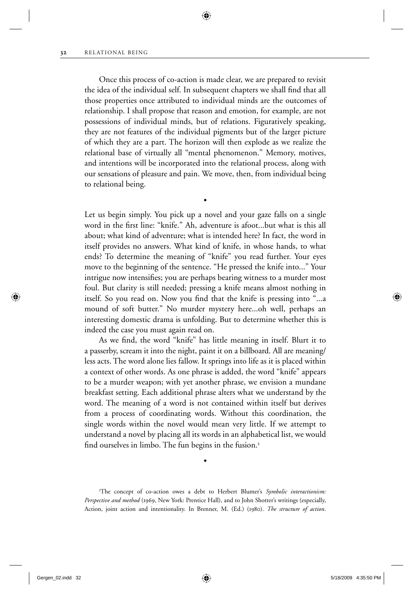Once this process of co-action is made clear, we are prepared to revisit the idea of the individual self. In subsequent chapters we shall find that all those properties once attributed to individual minds are the outcomes of relationship. I shall propose that reason and emotion, for example, are not possessions of individual minds, but of relations. Figuratively speaking, they are not features of the individual pigments but of the larger picture of which they are a part. The horizon will then explode as we realize the relational base of virtually all "mental phenomenon." Memory, motives, and intentions will be incorporated into the relational process, along with our sensations of pleasure and pain. We move, then, from individual being to relational being.

⊕

•

Let us begin simply. You pick up a novel and your gaze falls on a single word in the first line: "knife." Ah, adventure is afoot...but what is this all about; what kind of adventure; what is intended here? In fact, the word in itself provides no answers. What kind of knife, in whose hands, to what ends? To determine the meaning of "knife" you read further. Your eyes move to the beginning of the sentence. "He pressed the knife into..." Your intrigue now intensifies; you are perhaps bearing witness to a murder most foul. But clarity is still needed; pressing a knife means almost nothing in itself. So you read on. Now you find that the knife is pressing into "...a mound of soft butter." No murder mystery here...oh well, perhaps an interesting domestic drama is unfolding. But to determine whether this is indeed the case you must again read on.

As we find, the word "knife" has little meaning in itself. Blurt it to a passerby, scream it into the night, paint it on a billboard. All are meaning/ less acts. The word alone lies fallow. It springs into life as it is placed within a context of other words. As one phrase is added, the word "knife" appears to be a murder weapon; with yet another phrase, we envision a mundane breakfast setting. Each additional phrase alters what we understand by the word. The meaning of a word is not contained within itself but derives from a process of coordinating words. Without this coordination, the single words within the novel would mean very little. If we attempt to understand a novel by placing all its words in an alphabetical list, we would find ourselves in limbo. The fun begins in the fusion.<sup>3</sup>

3 The concept of co-action owes a debt to Herbert Blumer's *Symbolic interactionism: Perspective and method* (1969, New York: Prentice Hall), and to John Shotter's writings (especially, Action, joint action and intentionality. In Brenner, M. (Ed.) (1980). *The structure of action*.

•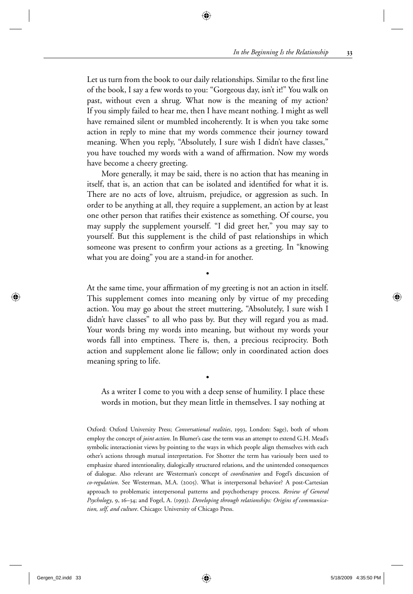Let us turn from the book to our daily relationships. Similar to the first line of the book, I say a few words to you: "Gorgeous day, isn't it!" You walk on past, without even a shrug. What now is the meaning of my action? If you simply failed to hear me, then I have meant nothing. I might as well have remained silent or mumbled incoherently. It is when you take some action in reply to mine that my words commence their journey toward meaning. When you reply, "Absolutely, I sure wish I didn't have classes," you have touched my words with a wand of affirmation. Now my words have become a cheery greeting.

↔

More generally, it may be said, there is no action that has meaning in itself, that is, an action that can be isolated and identified for what it is. There are no acts of love, altruism, prejudice, or aggression as such. In order to be anything at all, they require a supplement, an action by at least one other person that ratifies their existence as something. Of course, you may supply the supplement yourself. "I did greet her," you may say to yourself. But this supplement is the child of past relationships in which someone was present to confirm your actions as a greeting. In "knowing what you are doing" you are a stand-in for another.

At the same time, your affirmation of my greeting is not an action in itself. This supplement comes into meaning only by virtue of my preceding action. You may go about the street muttering, "Absolutely, I sure wish I didn't have classes" to all who pass by. But they will regard you as mad. Your words bring my words into meaning, but without my words your words fall into emptiness. There is, then, a precious reciprocity. Both action and supplement alone lie fallow; only in coordinated action does meaning spring to life.

•

As a writer I come to you with a deep sense of humility. I place these words in motion, but they mean little in themselves. I say nothing at

•

Oxford: Oxford University Press; *Conversational realities*, 1993, London: Sage), both of whom employ the concept of *joint action*. In Blumer's case the term was an attempt to extend G.H. Mead's symbolic interactionist views by pointing to the ways in which people align themselves with each other's actions through mutual interpretation. For Shotter the term has variously been used to emphasize shared intentionality, dialogically structured relations, and the unintended consequences of dialogue. Also relevant are Westerman's concept of *coordination* and Fogel's discussion of *co-regulation*. See Westerman, M.A. (2005). What is interpersonal behavior? A post-Cartesian approach to problematic interpersonal patterns and psychotherapy process*. Review of General Psychology*, 9, 16–34; and Fogel, A. (1993). *Developing through relationships: Origins of communication, self, and culture*. Chicago: University of Chicago Press.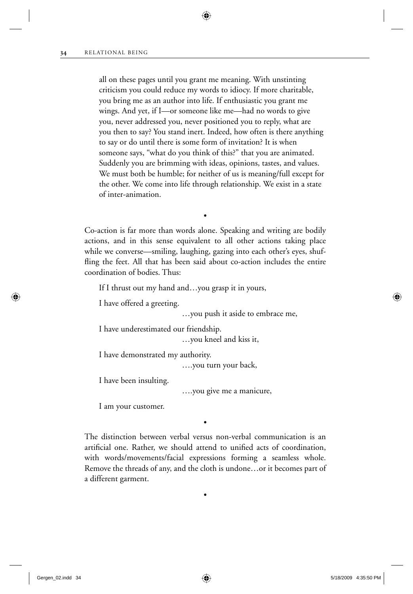all on these pages until you grant me meaning. With unstinting criticism you could reduce my words to idiocy. If more charitable, you bring me as an author into life. If enthusiastic you grant me wings. And yet, if I—or someone like me—had no words to give you, never addressed you, never positioned you to reply, what are you then to say? You stand inert. Indeed, how often is there anything to say or do until there is some form of invitation? It is when someone says, "what do you think of this?" that you are animated. Suddenly you are brimming with ideas, opinions, tastes, and values. We must both be humble; for neither of us is meaning/full except for the other. We come into life through relationship. We exist in a state of inter-animation.

⊕

Co-action is far more than words alone. Speaking and writing are bodily actions, and in this sense equivalent to all other actions taking place while we converse—smiling, laughing, gazing into each other's eyes, shuffling the feet. All that has been said about co-action includes the entire coordination of bodies. Thus:

•

If I thrust out my hand and…you grasp it in yours,

I have offered a greeting.

…you push it aside to embrace me,

I have underestimated our friendship.

…you kneel and kiss it,

I have demonstrated my authority.

….you turn your back,

I have been insulting.

….you give me a manicure,

I am your customer.

The distinction between verbal versus non-verbal communication is an artificial one. Rather, we should attend to unified acts of coordination, with words/movements/facial expressions forming a seamless whole. Remove the threads of any, and the cloth is undone…or it becomes part of a different garment.

•

•

⊕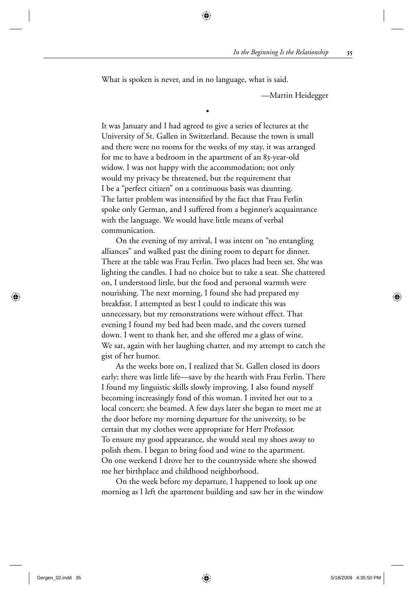What is spoken is never, and in no language, what is said.

—Martin Heidegger

It was January and I had agreed to give a series of lectures at the University of St. Gallen in Switzerland. Because the town is small and there were no rooms for the weeks of my stay, it was arranged for me to have a bedroom in the apartment of an 83-year-old widow. I was not happy with the accommodation; not only would my privacy be threatened, but the requirement that I be a "perfect citizen" on a continuous basis was daunting. The latter problem was intensified by the fact that Frau Ferlin spoke only German, and I suffered from a beginner's acquaintance with the language. We would have little means of verbal communication.

•

⊕

On the evening of my arrival, I was intent on "no entangling alliances" and walked past the dining room to depart for dinner. There at the table was Frau Ferlin. Two places had been set. She was lighting the candles. I had no choice but to take a seat. She chattered on, I understood little, but the food and personal warmth were nourishing. The next morning, I found she had prepared my breakfast. I attempted as best I could to indicate this was unnecessary, but my remonstrations were without effect. That evening I found my bed had been made, and the covers turned down. I went to thank her, and she offered me a glass of wine. We sat, again with her laughing chatter, and my attempt to catch the gist of her humor.

As the weeks bore on, I realized that St. Gallen closed its doors early; there was little life—save by the hearth with Frau Ferlin. There I found my linguistic skills slowly improving. I also found myself becoming increasingly fond of this woman. I invited her out to a local concert; she beamed. A few days later she began to meet me at the door before my morning departure for the university, to be certain that my clothes were appropriate for Herr Professor. To ensure my good appearance, she would steal my shoes away to polish them. I began to bring food and wine to the apartment. On one weekend I drove her to the countryside where she showed me her birthplace and childhood neighborhood.

On the week before my departure, I happened to look up one morning as I left the apartment building and saw her in the window

⊕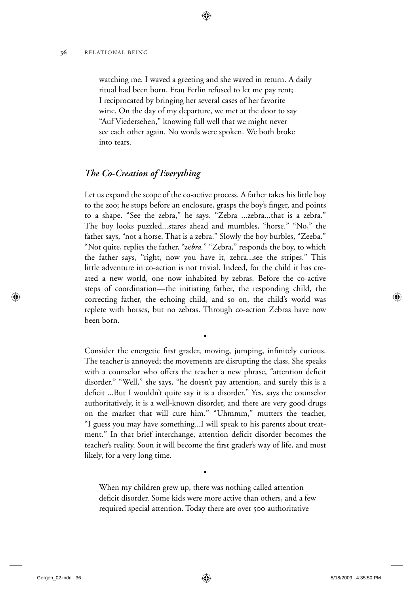watching me. I waved a greeting and she waved in return. A daily ritual had been born. Frau Ferlin refused to let me pay rent; I reciprocated by bringing her several cases of her favorite wine. On the day of my departure, we met at the door to say "Auf Viedersehen," knowing full well that we might never see each other again. No words were spoken. We both broke into tears.

⊕

## *The Co-Creation of Everything*

Let us expand the scope of the co-active process. A father takes his little boy to the zoo; he stops before an enclosure, grasps the boy's finger, and points to a shape. "See the zebra," he says. "Zebra ...zebra...that is a zebra." The boy looks puzzled...stares ahead and mumbles, "horse." "No," the father says, "not a horse. That is a zebra." Slowly the boy burbles, "Zeeba." "Not quite, replies the father, "ze*bra.*" "Zebra," responds the boy, to which the father says, "right, now you have it, zebra...see the stripes." This little adventure in co-action is not trivial. Indeed, for the child it has created a new world, one now inhabited by zebras. Before the co-active steps of coordination—the initiating father, the responding child, the correcting father, the echoing child, and so on, the child's world was replete with horses, but no zebras. Through co-action Zebras have now been born.

Consider the energetic first grader, moving, jumping, infinitely curious. The teacher is annoyed; the movements are disrupting the class. She speaks with a counselor who offers the teacher a new phrase, "attention deficit disorder." "Well," she says, "he doesn't pay attention, and surely this is a deficit ...But I wouldn't quite say it is a disorder." Yes, says the counselor authoritatively, it is a well-known disorder, and there are very good drugs on the market that will cure him." "Uhmmm," mutters the teacher, "I guess you may have something...I will speak to his parents about treatment." In that brief interchange, attention deficit disorder becomes the teacher's reality. Soon it will become the first grader's way of life, and most likely, for a very long time.

•

When my children grew up, there was nothing called attention deficit disorder. Some kids were more active than others, and a few required special attention. Today there are over 500 authoritative

•

⊕

Gergen\_02.indd 36 5/18/2009 4:35:50 PM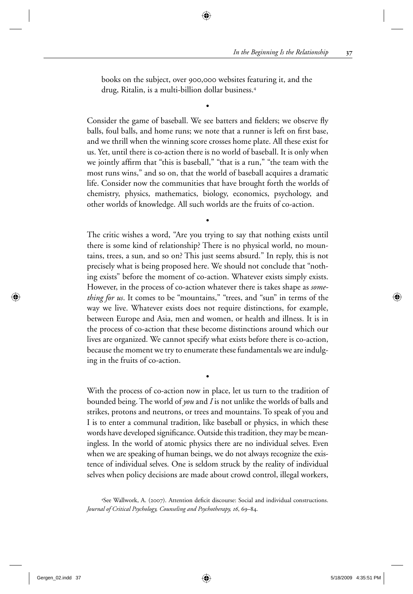books on the subject, over 900,000 websites featuring it, and the drug, Ritalin, is a multi-billion dollar business.<sup>4</sup>

↔

•

Consider the game of baseball. We see batters and fielders; we observe fly balls, foul balls, and home runs; we note that a runner is left on first base, and we thrill when the winning score crosses home plate. All these exist for us. Yet, until there is co-action there is no world of baseball. It is only when we jointly affirm that "this is baseball," "that is a run," "the team with the most runs wins," and so on, that the world of baseball acquires a dramatic life. Consider now the communities that have brought forth the worlds of chemistry, physics, mathematics, biology, economics, psychology, and other worlds of knowledge. All such worlds are the fruits of co-action.

•

The critic wishes a word, "Are you trying to say that nothing exists until there is some kind of relationship? There is no physical world, no mountains, trees, a sun, and so on? This just seems absurd." In reply, this is not precisely what is being proposed here. We should not conclude that "nothing exists" before the moment of co-action. Whatever exists simply exists. However, in the process of co-action whatever there is takes shape as *something for us*. It comes to be "mountains," "trees, and "sun" in terms of the way we live. Whatever exists does not require distinctions, for example, between Europe and Asia, men and women, or health and illness. It is in the process of co-action that these become distinctions around which our lives are organized. We cannot specify what exists before there is co-action, because the moment we try to enumerate these fundamentals we are indulging in the fruits of co-action.

With the process of co-action now in place, let us turn to the tradition of bounded being. The world of *you* and *I* is not unlike the worlds of balls and strikes, protons and neutrons, or trees and mountains. To speak of you and I is to enter a communal tradition, like baseball or physics, in which these words have developed significance. Outside this tradition, they may be meaningless. In the world of atomic physics there are no individual selves. Even when we are speaking of human beings, we do not always recognize the existence of individual selves. One is seldom struck by the reality of individual selves when policy decisions are made about crowd control, illegal workers,

•

4See Wallwork, A. (2007). Attention deficit discourse: Social and individual constructions. *Journal of Critical Psychology, Counseling and Psychotherapy, 16*, 69–84.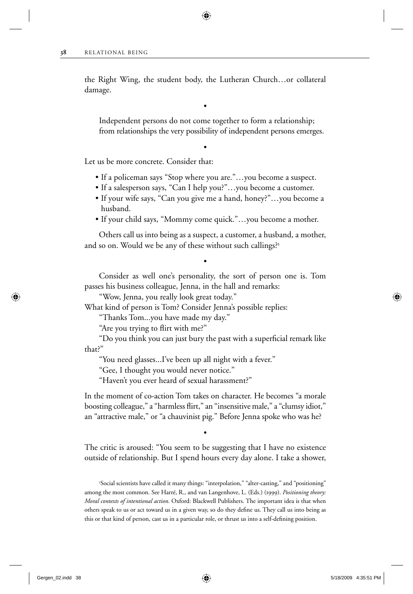the Right Wing, the student body, the Lutheran Church…or collateral damage.

↔

•

Independent persons do not come together to form a relationship; from relationships the very possibility of independent persons emerges.

Let us be more concrete. Consider that:

• If a policeman says "Stop where you are."…you become a suspect.

•

- If a salesperson says, "Can I help you?"…you become a customer.
- If your wife says, "Can you give me a hand, honey?"…you become a husband.
- If your child says, "Mommy come quick."…you become a mother.

Others call us into being as a suspect, a customer, a husband, a mother, and so on. Would we be any of these without such callings?<sup>5</sup>

•

Consider as well one's personality, the sort of person one is. Tom passes his business colleague, Jenna, in the hall and remarks:

"Wow, Jenna, you really look great today."

What kind of person is Tom? Consider Jenna's possible replies:

"Thanks Tom...you have made my day."

"Are you trying to flirt with me?"

"Do you think you can just bury the past with a superficial remark like that?"

"You need glasses...I've been up all night with a fever."

"Gee, I thought you would never notice."

"Haven't you ever heard of sexual harassment?"

In the moment of co-action Tom takes on character. He becomes "a morale boosting colleague," a "harmless flirt," an "insensitive male," a "clumsy idiot," an "attractive male," or "a chauvinist pig." Before Jenna spoke who was he?

The critic is aroused: "You seem to be suggesting that I have no existence outside of relationship. But I spend hours every day alone. I take a shower,

•

<sup>5</sup> Social scientists have called it many things: "interpolation," "alter-casting," and "positioning" among the most common. See Harré, R., and van Langenhove, L. (Eds.) (1999). *Positioning theory: Moral contexts of intentional action*. Oxford: Blackwell Publishers. The important idea is that when others speak to us or act toward us in a given way, so do they define us. They call us into being as this or that kind of person, cast us in a particular role, or thrust us into a self-defining position.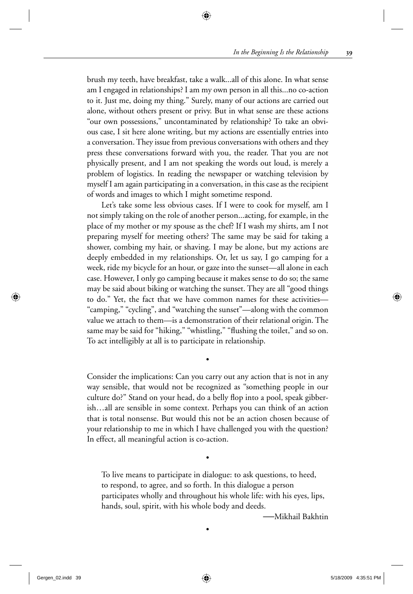brush my teeth, have breakfast, take a walk...all of this alone. In what sense am I engaged in relationships? I am my own person in all this...no co-action to it. Just me, doing my thing." Surely, many of our actions are carried out alone, without others present or privy. But in what sense are these actions "our own possessions," uncontaminated by relationship? To take an obvious case, I sit here alone writing, but my actions are essentially entries into a conversation. They issue from previous conversations with others and they press these conversations forward with you, the reader. That you are not physically present, and I am not speaking the words out loud, is merely a problem of logistics. In reading the newspaper or watching television by myself I am again participating in a conversation, in this case as the recipient of words and images to which I might sometime respond.

⊕

Let's take some less obvious cases. If I were to cook for myself, am I not simply taking on the role of another person...acting, for example, in the place of my mother or my spouse as the chef? If I wash my shirts, am I not preparing myself for meeting others? The same may be said for taking a shower, combing my hair, or shaving. I may be alone, but my actions are deeply embedded in my relationships. Or, let us say, I go camping for a week, ride my bicycle for an hour, or gaze into the sunset—all alone in each case. However, I only go camping because it makes sense to do so; the same may be said about biking or watching the sunset. They are all "good things to do." Yet, the fact that we have common names for these activities— "camping," "cycling", and "watching the sunset"—along with the common value we attach to them—is a demonstration of their relational origin. The same may be said for "hiking," "whistling," "flushing the toilet," and so on. To act intelligibly at all is to participate in relationship.

Consider the implications: Can you carry out any action that is not in any way sensible, that would not be recognized as "something people in our culture do?" Stand on your head, do a belly flop into a pool, speak gibberish…all are sensible in some context. Perhaps you can think of an action that is total nonsense. But would this not be an action chosen because of your relationship to me in which I have challenged you with the question? In effect, all meaningful action is co-action.

•

•

To live means to participate in dialogue: to ask questions, to heed, to respond, to agree, and so forth. In this dialogue a person participates wholly and throughout his whole life: with his eyes, lips, hands, soul, spirit, with his whole body and deeds.

•

—Mikhail Bakhtin

↔

Gergen\_02.indd 39 5/18/2009 4:35:51 PM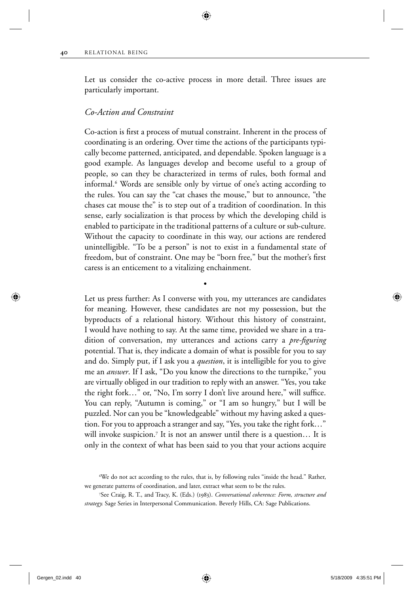Let us consider the co-active process in more detail. Three issues are particularly important.

⊕

#### *Co-Action and Constraint*

Co-action is first a process of mutual constraint. Inherent in the process of coordinating is an ordering. Over time the actions of the participants typically become patterned, anticipated, and dependable. Spoken language is a good example. As languages develop and become useful to a group of people, so can they be characterized in terms of rules, both formal and informal.<sup>6</sup> Words are sensible only by virtue of one's acting according to the rules. You can say the "cat chases the mouse," but to announce, "the chases cat mouse the" is to step out of a tradition of coordination. In this sense, early socialization is that process by which the developing child is enabled to participate in the traditional patterns of a culture or sub-culture. Without the capacity to coordinate in this way, our actions are rendered unintelligible. "To be a person" is not to exist in a fundamental state of freedom, but of constraint. One may be "born free," but the mother's first caress is an enticement to a vitalizing enchainment.

•

Let us press further: As I converse with you, my utterances are candidates for meaning. However, these candidates are not my possession, but the byproducts of a relational history. Without this history of constraint, I would have nothing to say. At the same time, provided we share in a tradition of conversation, my utterances and actions carry a *pre-figuring* potential. That is, they indicate a domain of what is possible for you to say and do. Simply put, if I ask you a *question*, it is intelligible for you to give me an *answer*. If I ask, "Do you know the directions to the turnpike," you are virtually obliged in our tradition to reply with an answer. "Yes, you take the right fork..." or, "No, I'm sorry I don't live around here," will suffice. You can reply, "Autumn is coming," or "I am so hungry," but I will be puzzled. Nor can you be "knowledgeable" without my having asked a question. For you to approach a stranger and say, "Yes, you take the right fork…" will invoke suspicion.<sup>7</sup> It is not an answer until there is a question... It is only in the context of what has been said to you that your actions acquire

↔

<sup>6</sup> We do not act according to the rules, that is, by following rules "inside the head." Rather, we generate patterns of coordination, and later, extract what seem to be the rules.

<sup>7</sup> See Craig, R. T., and Tracy, K. (Eds.) (1983). *Conversational coherence: Form, structure and strategy.* Sage Series in Interpersonal Communication. Beverly Hills, CA: Sage Publications.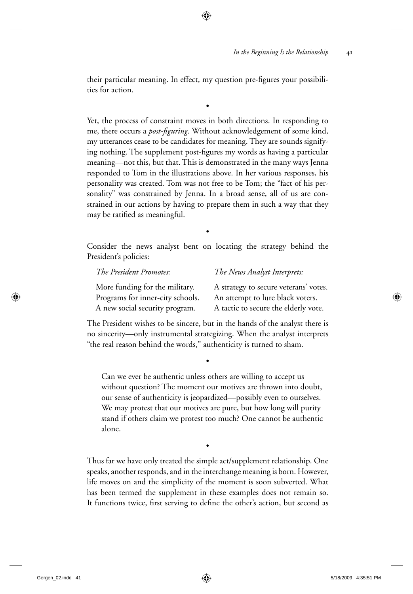their particular meaning. In effect, my question pre-figures your possibilities for action.

⊕

•

Yet, the process of constraint moves in both directions. In responding to me, there occurs a *post-figuring*. Without acknowledgement of some kind, my utterances cease to be candidates for meaning. They are sounds signifying nothing. The supplement post-figures my words as having a particular meaning—not this, but that. This is demonstrated in the many ways Jenna responded to Tom in the illustrations above. In her various responses, his personality was created. Tom was not free to be Tom; the "fact of his personality" was constrained by Jenna. In a broad sense, all of us are constrained in our actions by having to prepare them in such a way that they may be ratified as meaningful.

Consider the news analyst bent on locating the strategy behind the President's policies:

•

| The President Promotes:          | The News Analyst Interprets:          |
|----------------------------------|---------------------------------------|
| More funding for the military.   | A strategy to secure veterans' votes. |
| Programs for inner-city schools. | An attempt to lure black voters.      |
| A new social security program.   | A tactic to secure the elderly vote.  |

The President wishes to be sincere, but in the hands of the analyst there is no sincerity—only instrumental strategizing. When the analyst interprets "the real reason behind the words," authenticity is turned to sham.

•

Can we ever be authentic unless others are willing to accept us without question? The moment our motives are thrown into doubt, our sense of authenticity is jeopardized—possibly even to ourselves. We may protest that our motives are pure, but how long will purity stand if others claim we protest too much? One cannot be authentic alone.

Thus far we have only treated the simple act/supplement relationship. One speaks, another responds, and in the interchange meaning is born. However, life moves on and the simplicity of the moment is soon subverted. What has been termed the supplement in these examples does not remain so. It functions twice, first serving to define the other's action, but second as

•

↔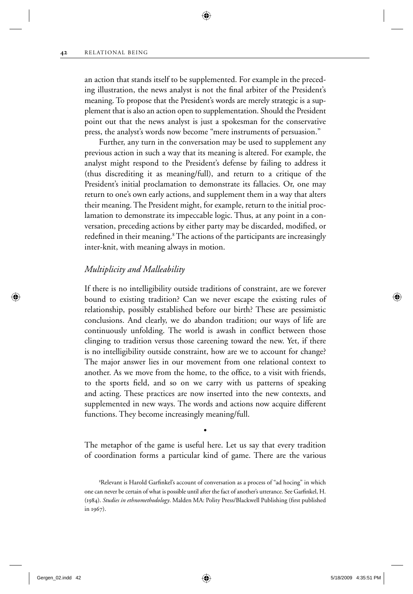an action that stands itself to be supplemented. For example in the preceding illustration, the news analyst is not the final arbiter of the President's meaning. To propose that the President's words are merely strategic is a supplement that is also an action open to supplementation. Should the President point out that the news analyst is just a spokesman for the conservative press, the analyst's words now become "mere instruments of persuasion."

⊕

Further, any turn in the conversation may be used to supplement any previous action in such a way that its meaning is altered. For example, the analyst might respond to the President's defense by failing to address it (thus discrediting it as meaning/full), and return to a critique of the President's initial proclamation to demonstrate its fallacies. Or, one may return to one's own early actions, and supplement them in a way that alters their meaning. The President might, for example, return to the initial proclamation to demonstrate its impeccable logic. Thus, at any point in a conversation, preceding actions by either party may be discarded, modified, or redefined in their meaning.<sup>8</sup> The actions of the participants are increasingly inter-knit, with meaning always in motion.

#### *Multiplicity and Malleability*

If there is no intelligibility outside traditions of constraint, are we forever bound to existing tradition? Can we never escape the existing rules of relationship, possibly established before our birth? These are pessimistic conclusions. And clearly, we do abandon tradition; our ways of life are continuously unfolding. The world is awash in conflict between those clinging to tradition versus those careening toward the new. Yet, if there is no intelligibility outside constraint, how are we to account for change? The major answer lies in our movement from one relational context to another. As we move from the home, to the office, to a visit with friends, to the sports field, and so on we carry with us patterns of speaking and acting. These practices are now inserted into the new contexts, and supplemented in new ways. The words and actions now acquire different functions. They become increasingly meaning/full.

The metaphor of the game is useful here. Let us say that every tradition of coordination forms a particular kind of game. There are the various

•

<sup>&</sup>lt;sup>8</sup>Relevant is Harold Garfinkel's account of conversation as a process of "ad hocing" in which one can never be certain of what is possible until after the fact of another's utterance. See Garfinkel, H. (1984). *Studies in ethnomethodology*. Malden MA: Polity Press/Blackwell Publishing (first published in 1967).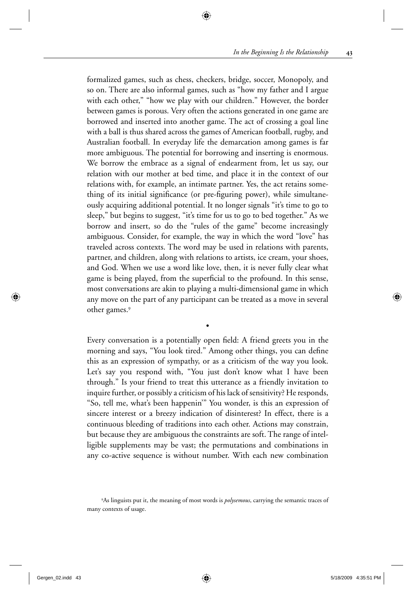formalized games, such as chess, checkers, bridge, soccer, Monopoly, and so on. There are also informal games, such as "how my father and I argue with each other," "how we play with our children." However, the border between games is porous. Very often the actions generated in one game are borrowed and inserted into another game. The act of crossing a goal line with a ball is thus shared across the games of American football, rugby, and Australian football. In everyday life the demarcation among games is far more ambiguous. The potential for borrowing and inserting is enormous. We borrow the embrace as a signal of endearment from, let us say, our relation with our mother at bed time, and place it in the context of our relations with, for example, an intimate partner. Yes, the act retains something of its initial significance (or pre-figuring power), while simultaneously acquiring additional potential. It no longer signals "it's time to go to sleep," but begins to suggest, "it's time for us to go to bed together." As we borrow and insert, so do the "rules of the game" become increasingly ambiguous. Consider, for example, the way in which the word "love" has traveled across contexts. The word may be used in relations with parents, partner, and children, along with relations to artists, ice cream, your shoes, and God. When we use a word like love, then, it is never fully clear what game is being played, from the superficial to the profound. In this sense, most conversations are akin to playing a multi-dimensional game in which any move on the part of any participant can be treated as a move in several other games.<sup>9</sup>

⊕

Every conversation is a potentially open field: A friend greets you in the morning and says, "You look tired." Among other things, you can define this as an expression of sympathy, or as a criticism of the way you look. Let's say you respond with, "You just don't know what I have been through." Is your friend to treat this utterance as a friendly invitation to inquire further, or possibly a criticism of his lack of sensitivity? He responds, "So, tell me, what's been happenin'" You wonder, is this an expression of sincere interest or a breezy indication of disinterest? In effect, there is a continuous bleeding of traditions into each other. Actions may constrain, but because they are ambiguous the constraints are soft. The range of intelligible supplements may be vast; the permutations and combinations in any co-active sequence is without number. With each new combination

•

⊕

Gergen\_02.indd 43 5/18/2009 4:35:51 PM

<sup>9</sup> As linguists put it, the meaning of most words is *polysemous*, carrying the semantic traces of many contexts of usage.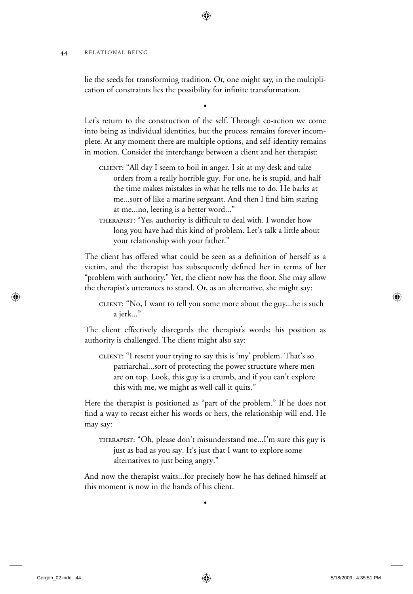lie the seeds for transforming tradition. Or, one might say, in the multiplication of constraints lies the possibility for infinite transformation.

⊕

•

Let's return to the construction of the self. Through co-action we come into being as individual identities, but the process remains forever incomplete. At any moment there are multiple options, and self-identity remains in motion. Consider the interchange between a client and her therapist:

- client: "All day I seem to boil in anger. I sit at my desk and take orders from a really horrible guy. For one, he is stupid, and half the time makes mistakes in what he tells me to do. He barks at me...sort of like a marine sergeant. And then I find him staring at me...no, leering is a better word..."
- THERAPIST: "Yes, authority is difficult to deal with. I wonder how long you have had this kind of problem. Let's talk a little about your relationship with your father."

The client has offered what could be seen as a definition of herself as a victim, and the therapist has subsequently defined her in terms of her "problem with authority." Yet, the client now has the floor. She may allow the therapist's utterances to stand. Or, as an alternative, she might say:

client: "No, I want to tell you some more about the guy...he is such a jerk..."

The client effectively disregards the therapist's words; his position as authority is challenged. The client might also say:

client: "I resent your trying to say this is 'my' problem. That's so patriarchal...sort of protecting the power structure where men are on top. Look, this guy is a crumb, and if you can't explore this with me, we might as well call it quits."

Here the therapist is positioned as "part of the problem." If he does not find a way to recast either his words or hers, the relationship will end. He may say:

therapist: "Oh, please don't misunderstand me...I'm sure this guy is just as bad as you say. It's just that I want to explore some alternatives to just being angry."

And now the therapist waits...for precisely how he has defined himself at this moment is now in the hands of his client.

•

⊕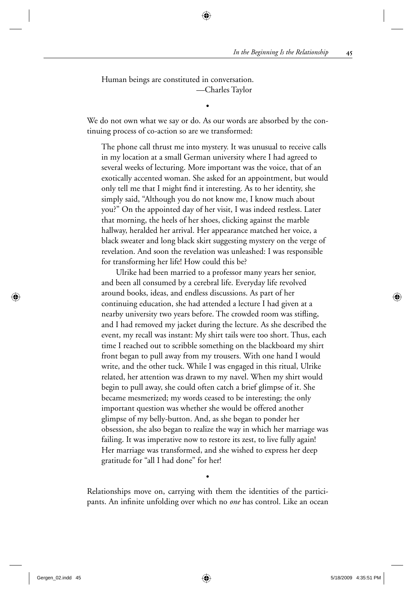Human beings are constituted in conversation. —Charles Taylor

•

⊕

We do not own what we say or do. As our words are absorbed by the continuing process of co-action so are we transformed:

The phone call thrust me into mystery. It was unusual to receive calls in my location at a small German university where I had agreed to several weeks of lecturing. More important was the voice, that of an exotically accented woman. She asked for an appointment, but would only tell me that I might find it interesting. As to her identity, she simply said, "Although you do not know me, I know much about you?" On the appointed day of her visit, I was indeed restless. Later that morning, the heels of her shoes, clicking against the marble hallway, heralded her arrival. Her appearance matched her voice, a black sweater and long black skirt suggesting mystery on the verge of revelation. And soon the revelation was unleashed: I was responsible for transforming her life! How could this be?

Ulrike had been married to a professor many years her senior, and been all consumed by a cerebral life. Everyday life revolved around books, ideas, and endless discussions. As part of her continuing education, she had attended a lecture I had given at a nearby university two years before. The crowded room was stifling, and I had removed my jacket during the lecture. As she described the event, my recall was instant: My shirt tails were too short. Thus, each time I reached out to scribble something on the blackboard my shirt front began to pull away from my trousers. With one hand I would write, and the other tuck. While I was engaged in this ritual, Ulrike related, her attention was drawn to my navel. When my shirt would begin to pull away, she could often catch a brief glimpse of it. She became mesmerized; my words ceased to be interesting; the only important question was whether she would be offered another glimpse of my belly-button. And, as she began to ponder her obsession, she also began to realize the way in which her marriage was failing. It was imperative now to restore its zest, to live fully again! Her marriage was transformed, and she wished to express her deep gratitude for "all I had done" for her!

Relationships move on, carrying with them the identities of the participants. An infinite unfolding over which no one has control. Like an ocean

•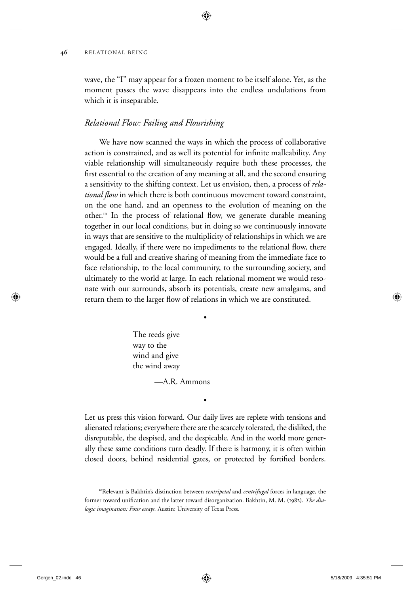wave, the "I" may appear for a frozen moment to be itself alone. Yet, as the moment passes the wave disappears into the endless undulations from which it is inseparable.

⊕

#### *Relational Flow: Failing and Flourishing*

We have now scanned the ways in which the process of collaborative action is constrained, and as well its potential for infinite malleability. Any viable relationship will simultaneously require both these processes, the first essential to the creation of any meaning at all, and the second ensuring a sensitivity to the shifting context. Let us envision, then, a process of *relational flow* in which there is both continuous movement toward constraint, on the one hand, and an openness to the evolution of meaning on the other.<sup>10</sup> In the process of relational flow, we generate durable meaning together in our local conditions, but in doing so we continuously innovate in ways that are sensitive to the multiplicity of relationships in which we are engaged. Ideally, if there were no impediments to the relational flow, there would be a full and creative sharing of meaning from the immediate face to face relationship, to the local community, to the surrounding society, and ultimately to the world at large. In each relational moment we would resonate with our surrounds, absorb its potentials, create new amalgams, and return them to the larger flow of relations in which we are constituted.

•

The reeds give way to the wind and give the wind away

—A.R. Ammons

Let us press this vision forward. Our daily lives are replete with tensions and alienated relations; everywhere there are the scarcely tolerated, the disliked, the disreputable, the despised, and the despicable. And in the world more generally these same conditions turn deadly. If there is harmony, it is often within closed doors, behind residential gates, or protected by fortified borders.

•

<sup>10</sup>Relevant is Bakhtin's distinction between *centripetal* and *centrifugal* forces in language, the former toward unification and the latter toward disorganization. Bakhtin, M. M. (1982). The dia*logic imagination: Four essays.* Austin: University of Texas Press.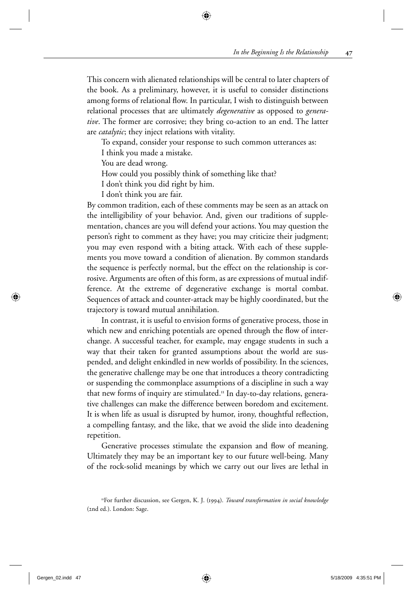This concern with alienated relationships will be central to later chapters of the book. As a preliminary, however, it is useful to consider distinctions among forms of relational flow. In particular, I wish to distinguish between relational processes that are ultimately *degenerative* as opposed to *generative*. The former are corrosive; they bring co-action to an end. The latter are *catalytic*; they inject relations with vitality.

↔

To expand, consider your response to such common utterances as:

I think you made a mistake.

You are dead wrong.

How could you possibly think of something like that?

I don't think you did right by him.

I don't think you are fair.

By common tradition, each of these comments may be seen as an attack on the intelligibility of your behavior. And, given our traditions of supplementation, chances are you will defend your actions. You may question the person's right to comment as they have; you may criticize their judgment; you may even respond with a biting attack. With each of these supplements you move toward a condition of alienation. By common standards the sequence is perfectly normal, but the effect on the relationship is corrosive. Arguments are often of this form, as are expressions of mutual indifference. At the extreme of degenerative exchange is mortal combat. Sequences of attack and counter-attack may be highly coordinated, but the trajectory is toward mutual annihilation.

In contrast, it is useful to envision forms of generative process, those in which new and enriching potentials are opened through the flow of interchange. A successful teacher, for example, may engage students in such a way that their taken for granted assumptions about the world are suspended, and delight enkindled in new worlds of possibility. In the sciences, the generative challenge may be one that introduces a theory contradicting or suspending the commonplace assumptions of a discipline in such a way that new forms of inquiry are stimulated.<sup>11</sup> In day-to-day relations, generative challenges can make the difference between boredom and excitement. It is when life as usual is disrupted by humor, irony, thoughtful reflection, a compelling fantasy, and the like, that we avoid the slide into deadening repetition.

Generative processes stimulate the expansion and flow of meaning. Ultimately they may be an important key to our future well-being. Many of the rock-solid meanings by which we carry out our lives are lethal in

⊕

Gergen\_02.indd 47 5/18/2009 4:35:51 PM

<sup>11</sup>For further discussion, see Gergen, K. J. (1994). *Toward transformation in social knowledge* (2nd ed.). London: Sage.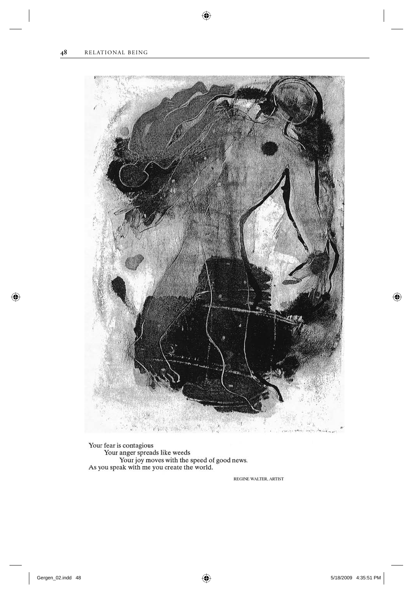

 $\bigoplus$ 

Your fear is contagious<br>Your anger spreads like weeds<br>Your joy moves with the speed of good news.<br>As you speak with me you create the world.

REGINE WALTER, ARTIST

 $\bigoplus$ 

 $\bigoplus$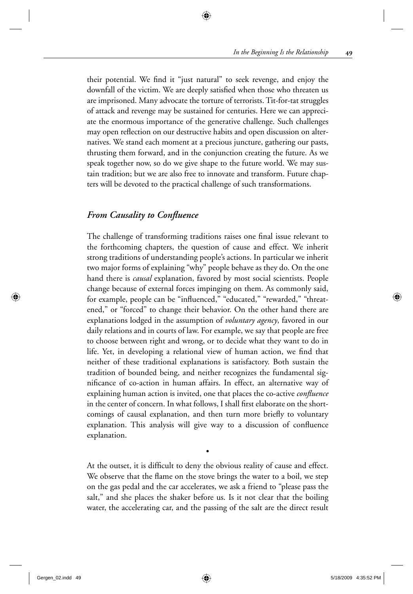their potential. We find it "just natural" to seek revenge, and enjoy the downfall of the victim. We are deeply satisfied when those who threaten us are imprisoned. Many advocate the torture of terrorists. Tit-for-tat struggles of attack and revenge may be sustained for centuries. Here we can appreciate the enormous importance of the generative challenge. Such challenges may open reflection on our destructive habits and open discussion on alternatives. We stand each moment at a precious juncture, gathering our pasts, thrusting them forward, and in the conjunction creating the future. As we speak together now, so do we give shape to the future world. We may sustain tradition; but we are also free to innovate and transform. Future chapters will be devoted to the practical challenge of such transformations.

⊕

## *From Causality to Confluence*

The challenge of transforming traditions raises one final issue relevant to the forthcoming chapters, the question of cause and effect. We inherit strong traditions of understanding people's actions. In particular we inherit two major forms of explaining "why" people behave as they do. On the one hand there is *causal* explanation, favored by most social scientists. People change because of external forces impinging on them. As commonly said, for example, people can be "influenced," "educated," "rewarded," "threatened," or "forced" to change their behavior. On the other hand there are explanations lodged in the assumption of *voluntary agency*, favored in our daily relations and in courts of law. For example, we say that people are free to choose between right and wrong, or to decide what they want to do in life. Yet, in developing a relational view of human action, we find that neither of these traditional explanations is satisfactory. Both sustain the tradition of bounded being, and neither recognizes the fundamental significance of co-action in human affairs. In effect, an alternative way of explaining human action is invited, one that places the co-active *confluence* in the center of concern. In what follows, I shall first elaborate on the shortcomings of causal explanation, and then turn more briefly to voluntary explanation. This analysis will give way to a discussion of confluence explanation.

At the outset, it is difficult to deny the obvious reality of cause and effect. We observe that the flame on the stove brings the water to a boil, we step on the gas pedal and the car accelerates, we ask a friend to "please pass the salt," and she places the shaker before us. Is it not clear that the boiling water, the accelerating car, and the passing of the salt are the direct result

•

⊕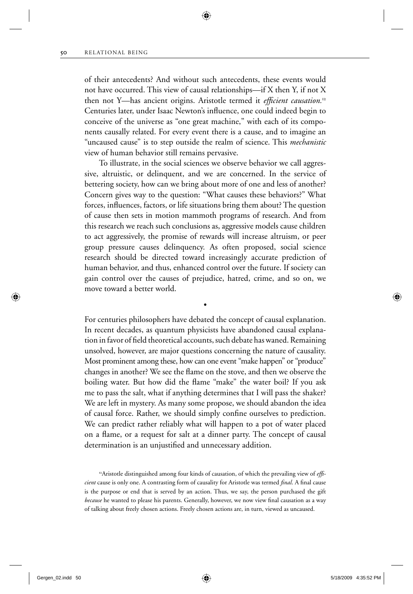of their antecedents? And without such antecedents, these events would not have occurred. This view of causal relationships—if X then Y, if not X then not Y—has ancient origins. Aristotle termed it *efficient causation*.<sup>12</sup> Centuries later, under Isaac Newton's influence, one could indeed begin to conceive of the universe as "one great machine," with each of its components causally related. For every event there is a cause, and to imagine an "uncaused cause" is to step outside the realm of science. This *mechanistic* view of human behavior still remains pervasive.

↔

To illustrate, in the social sciences we observe behavior we call aggressive, altruistic, or delinquent, and we are concerned. In the service of bettering society, how can we bring about more of one and less of another? Concern gives way to the question: "What causes these behaviors?" What forces, influences, factors, or life situations bring them about? The question of cause then sets in motion mammoth programs of research. And from this research we reach such conclusions as, aggressive models cause children to act aggressively, the promise of rewards will increase altruism, or peer group pressure causes delinquency. As often proposed, social science research should be directed toward increasingly accurate prediction of human behavior, and thus, enhanced control over the future. If society can gain control over the causes of prejudice, hatred, crime, and so on, we move toward a better world.

For centuries philosophers have debated the concept of causal explanation. In recent decades, as quantum physicists have abandoned causal explanation in favor of field theoretical accounts, such debate has waned. Remaining unsolved, however, are major questions concerning the nature of causality. Most prominent among these, how can one event "make happen" or "produce" changes in another? We see the flame on the stove, and then we observe the boiling water. But how did the flame "make" the water boil? If you ask me to pass the salt, what if anything determines that I will pass the shaker? We are left in mystery. As many some propose, we should abandon the idea of causal force. Rather, we should simply confine ourselves to prediction. We can predict rather reliably what will happen to a pot of water placed on a flame, or a request for salt at a dinner party. The concept of causal determination is an unjustified and unnecessary addition.

•

↔

<sup>&</sup>lt;sup>12</sup>Aristotle distinguished among four kinds of causation, of which the prevailing view of effi*cient* cause is only one. A contrasting form of causality for Aristotle was termed *final*. A final cause is the purpose or end that is served by an action. Thus, we say, the person purchased the gift *because* he wanted to please his parents. Generally, however, we now view final causation as a way of talking about freely chosen actions. Freely chosen actions are, in turn, viewed as uncaused.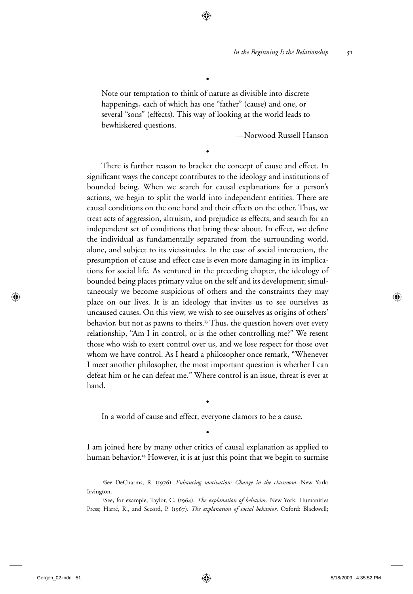Note our temptation to think of nature as divisible into discrete happenings, each of which has one "father" (cause) and one, or several "sons" (effects). This way of looking at the world leads to bewhiskered questions.

•

•

↔

—Norwood Russell Hanson

There is further reason to bracket the concept of cause and effect. In significant ways the concept contributes to the ideology and institutions of bounded being. When we search for causal explanations for a person's actions, we begin to split the world into independent entities. There are causal conditions on the one hand and their effects on the other. Thus, we treat acts of aggression, altruism, and prejudice as effects, and search for an independent set of conditions that bring these about. In effect, we define the individual as fundamentally separated from the surrounding world, alone, and subject to its vicissitudes. In the case of social interaction, the presumption of cause and effect case is even more damaging in its implications for social life. As ventured in the preceding chapter, the ideology of bounded being places primary value on the self and its development; simultaneously we become suspicious of others and the constraints they may place on our lives. It is an ideology that invites us to see ourselves as uncaused causes. On this view, we wish to see ourselves as origins of others' behavior, but not as pawns to theirs.<sup>13</sup> Thus, the question hovers over every relationship, "Am I in control, or is the other controlling me?" We resent those who wish to exert control over us, and we lose respect for those over whom we have control. As I heard a philosopher once remark, "Whenever I meet another philosopher, the most important question is whether I can defeat him or he can defeat me." Where control is an issue, threat is ever at hand.

In a world of cause and effect, everyone clamors to be a cause.

•

I am joined here by many other critics of causal explanation as applied to human behavior.<sup>14</sup> However, it is at just this point that we begin to surmise

•

<sup>13</sup>See DeCharms, R. (1976). *Enhancing motivation: Change in the classroom*. New York: Irvington.

<sup>14</sup>See, for example, Taylor, C. (1964). *The explanation of behavior*. New York: Humanities Press; Harré, R., and Secord, P. (1967). *The explanation of social behavior*. Oxford: Blackwell;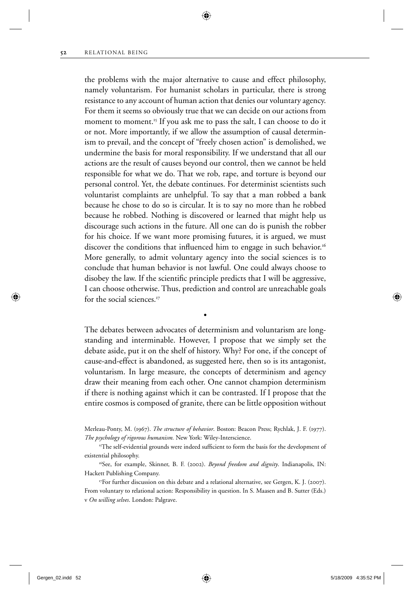the problems with the major alternative to cause and effect philosophy, namely voluntarism. For humanist scholars in particular, there is strong resistance to any account of human action that denies our voluntary agency. For them it seems so obviously true that we can decide on our actions from moment to moment.<sup>15</sup> If you ask me to pass the salt, I can choose to do it or not. More importantly, if we allow the assumption of causal determinism to prevail, and the concept of "freely chosen action" is demolished, we undermine the basis for moral responsibility. If we understand that all our actions are the result of causes beyond our control, then we cannot be held responsible for what we do. That we rob, rape, and torture is beyond our personal control. Yet, the debate continues. For determinist scientists such voluntarist complaints are unhelpful. To say that a man robbed a bank because he chose to do so is circular. It is to say no more than he robbed because he robbed. Nothing is discovered or learned that might help us discourage such actions in the future. All one can do is punish the robber for his choice. If we want more promising futures, it is argued, we must discover the conditions that influenced him to engage in such behavior.<sup>16</sup> More generally, to admit voluntary agency into the social sciences is to conclude that human behavior is not lawful. One could always choose to disobey the law. If the scientific principle predicts that I will be aggressive, I can choose otherwise. Thus, prediction and control are unreachable goals for the social sciences.<sup>17</sup>

↔

The debates between advocates of determinism and voluntarism are longstanding and interminable. However, I propose that we simply set the debate aside, put it on the shelf of history. Why? For one, if the concept of cause-and-effect is abandoned, as suggested here, then so is its antagonist, voluntarism. In large measure, the concepts of determinism and agency draw their meaning from each other. One cannot champion determinism if there is nothing against which it can be contrasted. If I propose that the entire cosmos is composed of granite, there can be little opposition without

•

Merleau-Ponty, M. (1967). *The structure of behavior*. Boston: Beacon Press; Rychlak, J. F. (1977). *The psychology of rigorous humanism.* New York: Wiley-Interscience.

<sup>15</sup>The self-evidential grounds were indeed sufficient to form the basis for the development of existential philosophy.

<sup>16</sup>See, for example, Skinner, B. F. (2002). *Beyond freedom and dignity*. Indianapolis, IN: Hackett Publishing Company.

<sup>17</sup>For further discussion on this debate and a relational alternative, see Gergen, K. J. (2007). From voluntary to relational action: Responsibility in question. In S. Maasen and B. Sutter (Eds.) v *On willing selves*. London: Palgrave.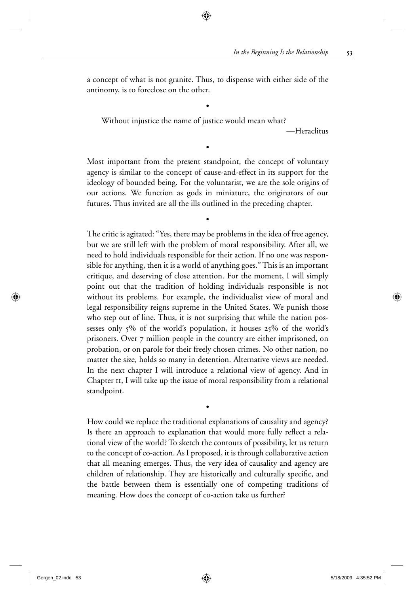a concept of what is not granite. Thus, to dispense with either side of the antinomy, is to foreclose on the other.

⊕

•

Without injustice the name of justice would mean what? —Heraclitus

Most important from the present standpoint, the concept of voluntary agency is similar to the concept of cause-and-effect in its support for the ideology of bounded being. For the voluntarist, we are the sole origins of our actions. We function as gods in miniature, the originators of our futures. Thus invited are all the ills outlined in the preceding chapter.

•

•

The critic is agitated: "Yes, there may be problems in the idea of free agency, but we are still left with the problem of moral responsibility. After all, we need to hold individuals responsible for their action. If no one was responsible for anything, then it is a world of anything goes." This is an important critique, and deserving of close attention. For the moment, I will simply point out that the tradition of holding individuals responsible is not without its problems. For example, the individualist view of moral and legal responsibility reigns supreme in the United States. We punish those who step out of line. Thus, it is not surprising that while the nation possesses only 5% of the world's population, it houses 25% of the world's prisoners. Over 7 million people in the country are either imprisoned, on probation, or on parole for their freely chosen crimes. No other nation, no matter the size, holds so many in detention. Alternative views are needed. In the next chapter I will introduce a relational view of agency. And in Chapter 11, I will take up the issue of moral responsibility from a relational standpoint.

How could we replace the traditional explanations of causality and agency? Is there an approach to explanation that would more fully reflect a relational view of the world? To sketch the contours of possibility, let us return to the concept of co-action. As I proposed, it is through collaborative action that all meaning emerges. Thus, the very idea of causality and agency are children of relationship. They are historically and culturally specific, and the battle between them is essentially one of competing traditions of meaning. How does the concept of co-action take us further?

•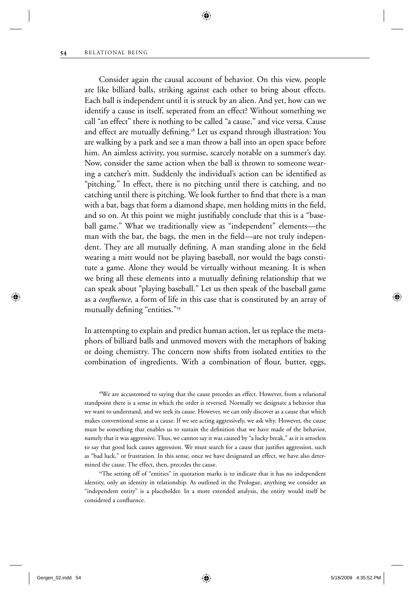Consider again the causal account of behavior. On this view, people are like billiard balls, striking against each other to bring about effects. Each ball is independent until it is struck by an alien. And yet, how can we identify a cause in itself, seperated from an effect? Without something we call "an effect" there is nothing to be called "a cause," and vice versa. Cause and effect are mutually defining.<sup>18</sup> Let us expand through illustration: You are walking by a park and see a man throw a ball into an open space before him. An aimless activity, you surmise, scarcely notable on a summer's day. Now, consider the same action when the ball is thrown to someone wearing a catcher's mitt. Suddenly the individual's action can be identified as "pitching." In effect, there is no pitching until there is catching, and no catching until there is pitching. We look further to find that there is a man with a bat, bags that form a diamond shape, men holding mitts in the field, and so on. At this point we might justifiably conclude that this is a "baseball game." What we traditionally view as "independent" elements—the man with the bat, the bags, the men in the field—are not truly independent. They are all mutually defining. A man standing alone in the field wearing a mitt would not be playing baseball, nor would the bags constitute a game. Alone they would be virtually without meaning. It is when we bring all these elements into a mutually defining relationship that we can speak about "playing baseball." Let us then speak of the baseball game as a *confluence*, a form of life in this case that is constituted by an array of mutually defining "entities."<sup>19</sup>

↔

In attempting to explain and predict human action, let us replace the metaphors of billiard balls and unmoved movers with the metaphors of baking or doing chemistry. The concern now shifts from isolated entities to the combination of ingredients. With a combination of flour, butter, eggs,

<sup>18</sup>We are accustomed to saying that the cause precedes an effect. However, from a relational standpoint there is a sense in which the order is reversed. Normally we designate a behavior that we want to understand, and we seek its cause. However, we can only discover as a cause that which makes conventional sense as a cause. If we see acting aggressively, we ask why. However, the cause must be something that enables us to sustain the definition that we have made of the behavior, namely that it was aggressive. Thus, we cannot say it was caused by "a lucky break," as it is senseless to say that good luck causes aggression. We must search for a cause that justifies aggression, such as "bad luck," or frustration. In this sense, once we have designated an effect, we have also determined the cause. The effect, then, precedes the cause.

<sup>19</sup>The setting off of "entities" in quotation marks is to indicate that it has no independent identity, only an identity in relationship. As outlined in the Prologue, anything we consider an "independent entity" is a placeholder. In a more extended analysis, the entity would itself be considered a confluence.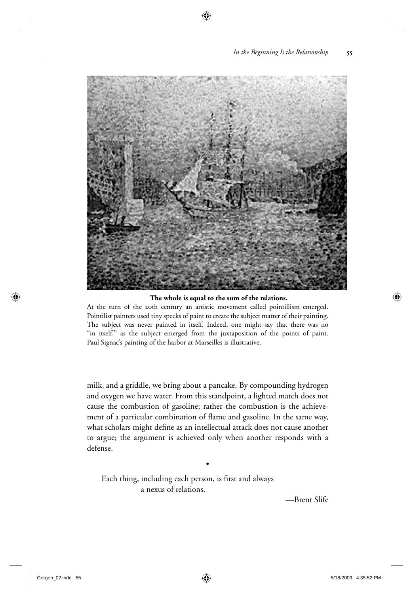

⊕

#### **The whole is equal to the sum of the relations.**

At the turn of the 20th century an artistic movement called pointillism emerged. Pointilist painters used tiny specks of paint to create the subject matter of their painting. The subject was never painted in itself. Indeed, one might say that there was no "in itself," as the subject emerged from the juxtaposition of the points of paint. Paul Signac's painting of the harbor at Marseilles is illustrative.

milk, and a griddle, we bring about a pancake. By compounding hydrogen and oxygen we have water. From this standpoint, a lighted match does not cause the combustion of gasoline; rather the combustion is the achievement of a particular combination of flame and gasoline. In the same way, what scholars might define as an intellectual attack does not cause another to argue; the argument is achieved only when another responds with a defense.

•

Each thing, including each person, is first and always a nexus of relations.

—Brent Slife

⊕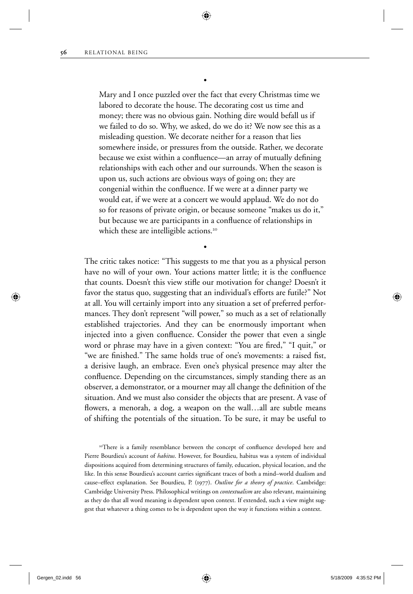Mary and I once puzzled over the fact that every Christmas time we labored to decorate the house. The decorating cost us time and money; there was no obvious gain. Nothing dire would befall us if we failed to do so. Why, we asked, do we do it? We now see this as a misleading question. We decorate neither for a reason that lies somewhere inside, or pressures from the outside. Rather, we decorate because we exist within a confluence—an array of mutually defining relationships with each other and our surrounds. When the season is upon us, such actions are obvious ways of going on; they are congenial within the confluence. If we were at a dinner party we would eat, if we were at a concert we would applaud. We do not do so for reasons of private origin, or because someone "makes us do it," but because we are participants in a confluence of relationships in which these are intelligible actions.<sup>20</sup>

•

↔

The critic takes notice: "This suggests to me that you as a physical person have no will of your own. Your actions matter little; it is the confluence that counts. Doesn't this view stifle our motivation for change? Doesn't it favor the status quo, suggesting that an individual's efforts are futile?" Not at all. You will certainly import into any situation a set of preferred performances. They don't represent "will power," so much as a set of relationally established trajectories. And they can be enormously important when injected into a given confluence. Consider the power that even a single word or phrase may have in a given context: "You are fired," "I quit," or "we are finished." The same holds true of one's movements: a raised fist, a derisive laugh, an embrace. Even one's physical presence may alter the confluence. Depending on the circumstances, simply standing there as an observer, a demonstrator, or a mourner may all change the definition of the situation. And we must also consider the objects that are present. A vase of flowers, a menorah, a dog, a weapon on the wall...all are subtle means of shifting the potentials of the situation. To be sure, it may be useful to

•

⊕

Gergen\_02.indd 56 5/18/2009 4:35:52 PM

<sup>&</sup>lt;sup>20</sup>There is a family resemblance between the concept of confluence developed here and Pierre Bourdieu's account of *habitus*. However, for Bourdieu, habitus was a system of individual dispositions acquired from determining structures of family, education, physical location, and the like. In this sense Bourdieu's account carries significant traces of both a mind-world dualism and cause–effect explanation. See Bourdieu, P. (1977). *Outline for a theory of practice*. Cambridge: Cambridge University Press. Philosophical writings on *contextualism* are also relevant, maintaining as they do that all word meaning is dependent upon context. If extended, such a view might suggest that whatever a thing comes to be is dependent upon the way it functions within a context.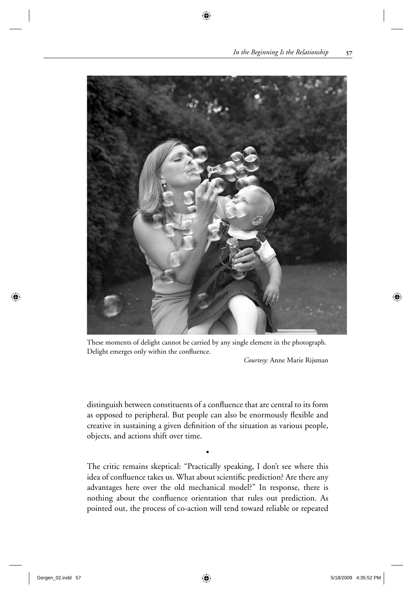

 $\bigoplus$ 

These moments of delight cannot be carried by any single element in the photograph. Delight emerges only within the confluence.

*Courtesy:* Anne Marie Rijsman

distinguish between constituents of a confluence that are central to its form as opposed to peripheral. But people can also be enormously flexible and creative in sustaining a given definition of the situation as various people, objects, and actions shift over time.

•

The critic remains skeptical: "Practically speaking, I don't see where this idea of confluence takes us. What about scientific prediction? Are there any advantages here over the old mechanical model?" In response, there is nothing about the confluence orientation that rules out prediction. As pointed out, the process of co-action will tend toward reliable or repeated

⊕

↔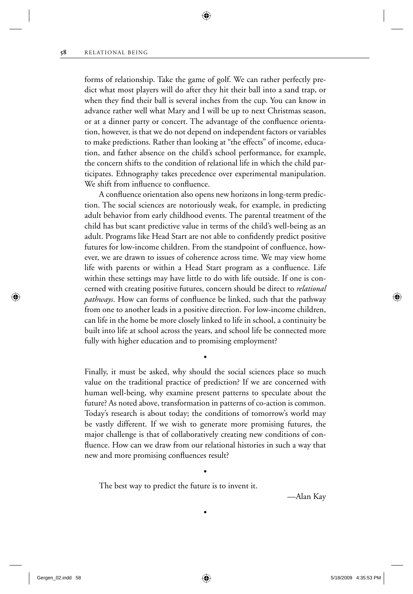forms of relationship. Take the game of golf. We can rather perfectly predict what most players will do after they hit their ball into a sand trap, or when they find their ball is several inches from the cup. You can know in advance rather well what Mary and I will be up to next Christmas season, or at a dinner party or concert. The advantage of the confluence orientation, however, is that we do not depend on independent factors or variables to make predictions. Rather than looking at "the effects" of income, education, and father absence on the child's school performance, for example, the concern shifts to the condition of relational life in which the child participates. Ethnography takes precedence over experimental manipulation. We shift from influence to confluence.

⊕

A confluence orientation also opens new horizons in long-term prediction. The social sciences are notoriously weak, for example, in predicting adult behavior from early childhood events. The parental treatment of the child has but scant predictive value in terms of the child's well-being as an adult. Programs like Head Start are not able to confidently predict positive futures for low-income children. From the standpoint of confluence, however, we are drawn to issues of coherence across time. We may view home life with parents or within a Head Start program as a confluence. Life within these settings may have little to do with life outside. If one is concerned with creating positive futures, concern should be direct to *relational pathways*. How can forms of confluence be linked, such that the pathway from one to another leads in a positive direction. For low-income children, can life in the home be more closely linked to life in school, a continuity be built into life at school across the years, and school life be connected more fully with higher education and to promising employment?

Finally, it must be asked, why should the social sciences place so much value on the traditional practice of prediction? If we are concerned with human well-being, why examine present patterns to speculate about the future? As noted above, transformation in patterns of co-action is common. Today's research is about today; the conditions of tomorrow's world may be vastly different. If we wish to generate more promising futures, the major challenge is that of collaboratively creating new conditions of confluence. How can we draw from our relational histories in such a way that new and more promising confluences result?

•

•

•

The best way to predict the future is to invent it.

—Alan Kay

⊕